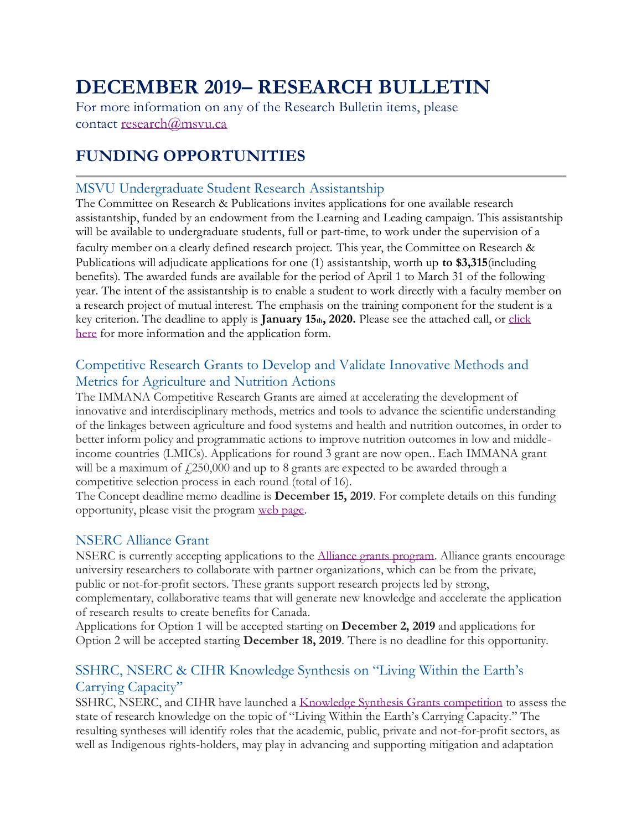# **DECEMBER 2019– RESEARCH BULLETIN**

For more information on any of the Research Bulletin items, please contact [research@msvu.ca](mailto:research@msvu.ca)

# **FUNDING OPPORTUNITIES**

#### MSVU Undergraduate Student Research Assistantship

The Committee on Research & Publications invites applications for one available research assistantship, funded by an endowment from the Learning and Leading campaign. This assistantship will be available to undergraduate students, full or part-time, to work under the supervision of a faculty member on a clearly defined research project. This year, the Committee on Research & Publications will adjudicate applications for one (1) assistantship, worth up **to \$3,315**(including benefits). The awarded funds are available for the period of April 1 to March 31 of the following year. The intent of the assistantship is to enable a student to work directly with a faculty member on a research project of mutual interest. The emphasis on the training component for the student is a key criterion. The deadline to apply is **January 15th, 2020.** Please see the attached call, or [click](https://www.msvu.ca/en/home/research/externalgrants/internalgrants.aspx)  [here](https://www.msvu.ca/en/home/research/externalgrants/internalgrants.aspx) for more information and the application form.

#### Competitive Research Grants to Develop and Validate Innovative Methods and Metrics for Agriculture and Nutrition Actions

The IMMANA Competitive Research Grants are aimed at accelerating the development of innovative and interdisciplinary methods, metrics and tools to advance the scientific understanding of the linkages between agriculture and food systems and health and nutrition outcomes, in order to better inform policy and programmatic actions to improve nutrition outcomes in low and middleincome countries (LMICs). Applications for round 3 grant are now open.. Each IMMANA grant will be a maximum of  $f(250,000)$  and up to 8 grants are expected to be awarded through a competitive selection process in each round (total of 16).

The Concept deadline memo deadline is **December 15, 2019**. For complete details on this funding opportunity, please visit the program [web page.](https://immana.lcirah.ac.uk/grants)

#### NSERC Alliance Grant

NSERC is currently accepting applications to the [Alliance grants program.](https://www.nserc-crsng.gc.ca/Innovate-Innover/alliance-alliance/index_eng.asp) Alliance grants encourage university researchers to collaborate with partner organizations, which can be from the private, public or not-for-profit sectors. These grants support research projects led by strong, complementary, collaborative teams that will generate new knowledge and accelerate the application of research results to create benefits for Canada.

Applications for Option 1 will be accepted starting on **December 2, 2019** and applications for Option 2 will be accepted starting **December 18, 2019**. There is no deadline for this opportunity.

#### SSHRC, NSERC & CIHR Knowledge Synthesis on "Living Within the Earth's Carrying Capacity"

SSHRC, NSERC, and CIHR have launched a [Knowledge Synthesis Grants competition](https://www.sshrc-crsh.gc.ca/funding-financement/programs-programmes/ksg_living_within_earth_carrying_capacity-ssc_vie_fonction_capacite_limite_terre-eng.aspx) to assess the state of research knowledge on the topic of "Living Within the Earth's Carrying Capacity." The resulting syntheses will identify roles that the academic, public, private and not-for-profit sectors, as well as Indigenous rights-holders, may play in advancing and supporting mitigation and adaptation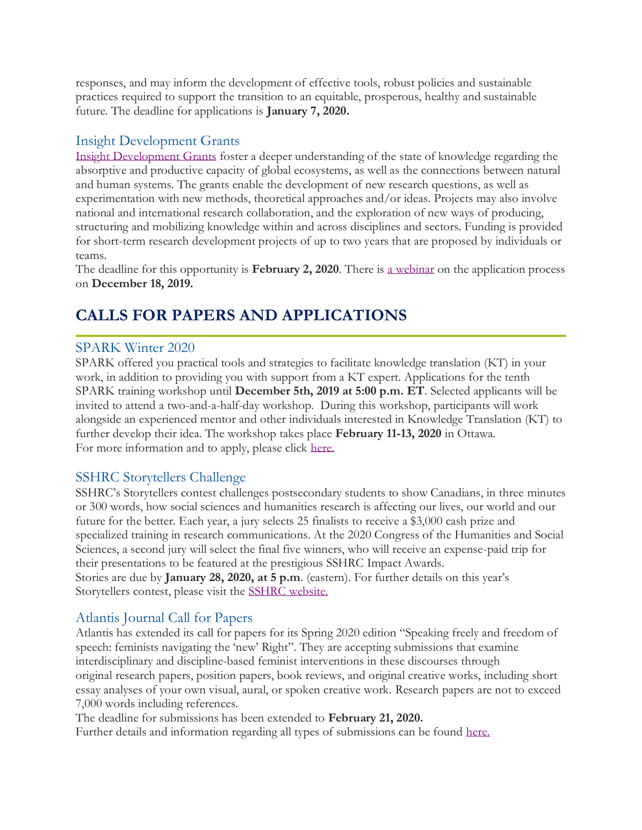responses, and may inform the development of effective tools, robust policies and sustainable practices required to support the transition to an equitable, prosperous, healthy and sustainable future. The deadline for applications is **January 7, 2020.**

#### Insight Development Grants

[Insight Development Grants](https://www.sshrc-crsh.gc.ca/funding-financement/programs-programmes/insight_development_grants-subventions_de_developpement_savoir-eng.aspx) foster a deeper understanding of the state of knowledge regarding the absorptive and productive capacity of global ecosystems, as well as the connections between natural and human systems. The grants enable the development of new research questions, as well as experimentation with new methods, theoretical approaches and/or ideas. Projects may also involve national and international research collaboration, and the exploration of new ways of producing, structuring and mobilizing knowledge within and across disciplines and sectors. Funding is provided for short-term research development projects of up to two years that are proposed by individuals or teams.

The deadline for this opportunity is **February 2, 2020**. There is [a webinar](https://sshrcvideo.webex.com/mw3300/mywebex/default.do?nomenu=true&siteurl=sshrcvideo&service=6&rnd=0.9588805442383941&main_url=https%3A%2F%2Fsshrcvideo.webex.com%2Fec3300%2Feventcenter%2Fevent%2FeventAction.do%3FtheAction%3Ddetail%26%26%26EMK%3D4832534b00000004afb11448489bd41484954ecfc416f8ab40732dca087647d9abc7fe65e78ca546%26siteurl%3Dsshrcvideo%26confViewID%3D145196833551979168%26encryptTicket%3DSDJTSwAAAASjusDDHPnUB9GtGAux7VXixPeBBFcYoxLIEOpD3CEm3w2%26) on the application process on **December 18, 2019.**

# **CALLS FOR PAPERS AND APPLICATIONS**

#### SPARK Winter 2020

SPARK offered you practical tools and strategies to facilitate knowledge translation (KT) in your work, in addition to providing you with support from a KT expert. Applications for the tenth SPARK training workshop until **December 5th, 2019 at 5:00 p.m. ET**. Selected applicants will be invited to attend a two-and-a-half-day workshop. During this workshop, participants will work alongside an experienced mentor and other individuals interested in Knowledge Translation (KT) to further develop their idea. The workshop takes place **February 11-13, 2020** in Ottawa. For more information and to apply, please click [here.](https://www.mentalhealthcommission.ca/English/spark-training-workshop)

#### SSHRC Storytellers Challenge

SSHRC's Storytellers contest challenges postsecondary students to show Canadians, in three minutes or 300 words, how social sciences and humanities research is affecting our lives, our world and our future for the better. Each year, a jury selects 25 finalists to receive a \$3,000 cash prize and specialized training in research communications. At the 2020 Congress of the Humanities and Social Sciences, a second jury will select the final five winners, who will receive an expense-paid trip for their presentations to be featured at the prestigious SSHRC Impact Awards. Stories are due by **January 28, 2020, at 5 p.m**. (eastern). For further details on this year's Storytellers contest, please visit the [SSHRC website.](https://www.sshrc-crsh.gc.ca/society-societe/storytellers-jai_une_histoire_a_raconter/index-eng.aspx?utm_campaign=sshrc-storytellers-eng-2019&utm_medium=email&utm_source=uni-comms)

#### Atlantis Journal Call for Papers

Atlantis has extended its call for papers for its Spring 2020 edition "Speaking freely and freedom of speech: feminists navigating the 'new' Right". They are accepting submissions that examine interdisciplinary and discipline-based feminist interventions in these discourses through original research papers, position papers, book reviews, and original creative works, including short essay analyses of your own visual, aural, or spoken creative work. Research papers are not to exceed 7,000 words including references.

The deadline for submissions has been extended to **February 21, 2020.**

Further details and information regarding all types of submissions can be found [here.](http://journals.msvu.ca/index.php/atlantis/about/submissions)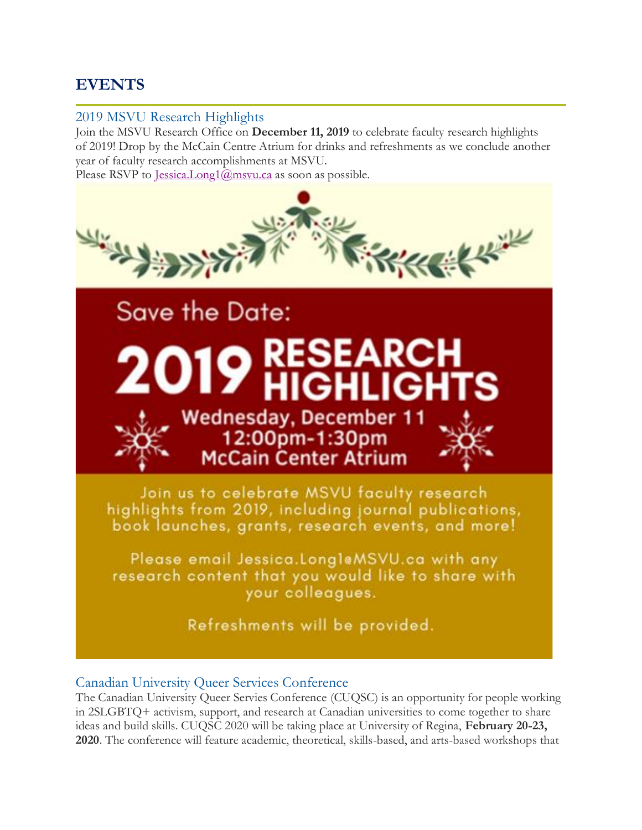# **EVENTS**

#### 2019 MSVU Research Highlights

Join the MSVU Research Office on **December 11, 2019** to celebrate faculty research highlights of 2019! Drop by the McCain Centre Atrium for drinks and refreshments as we conclude another year of faculty research accomplishments at MSVU.

Please RSVP to [Jessica.Long1@msvu.ca](mailto:Jessica.Long1@msvu.ca) as soon as possible.



#### Canadian University Queer Services Conference

The Canadian University Queer Servies Conference (CUQSC) is an opportunity for people working in 2SLGBTQ+ activism, support, and research at Canadian universities to come together to share ideas and build skills. CUQSC 2020 will be taking place at University of Regina, **February 20-23, 2020**. The conference will feature academic, theoretical, skills-based, and arts-based workshops that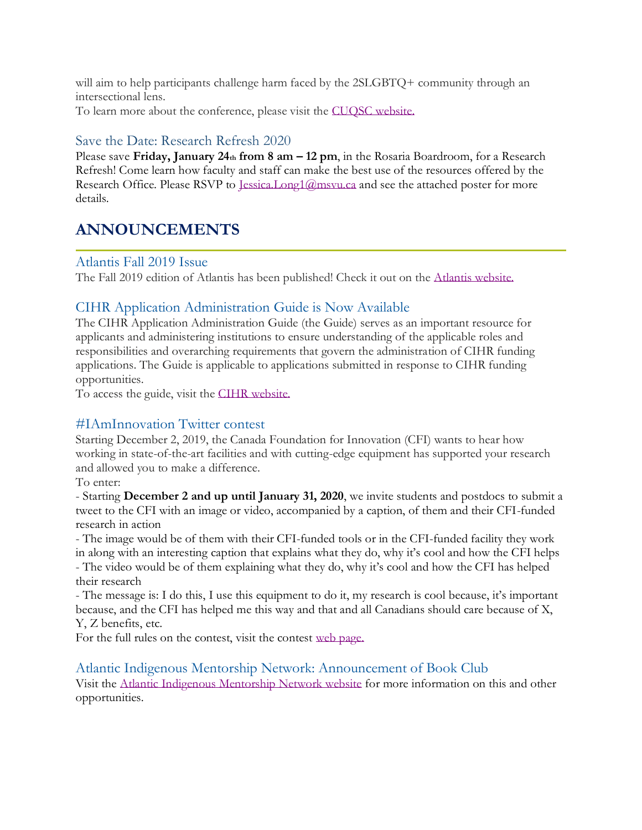will aim to help participants challenge harm faced by the 2SLGBTO+ community through an intersectional lens.

To learn more about the conference, please visit the [CUQSC website.](https://www.cuqsc.ca/)

#### Save the Date: Research Refresh 2020

Please save **Friday, January 24th from 8 am – 12 pm**, in the Rosaria Boardroom, for a Research Refresh! Come learn how faculty and staff can make the best use of the resources offered by the Research Office. Please RSVP to Lessica.Long1@msvu.ca and see the attached poster for more details.

### **ANNOUNCEMENTS**

#### Atlantis Fall 2019 Issue

The Fall 2019 edition of Atlantis has been published! Check it out on the [Atlantis website.](http://journals.msvu.ca/index.php/atlantis/index)

#### CIHR Application Administration Guide is Now Available

The CIHR Application Administration Guide (the Guide) serves as an important resource for applicants and administering institutions to ensure understanding of the applicable roles and responsibilities and overarching requirements that govern the administration of CIHR funding applications. The Guide is applicable to applications submitted in response to CIHR funding opportunities.

To access the guide, visit the [CIHR website.](http://cihr-irsc.gc.ca/e/50805.html)

#### #IAmInnovation Twitter contest

Starting December 2, 2019, the Canada Foundation for Innovation (CFI) wants to hear how working in state-of-the-art facilities and with cutting-edge equipment has supported your research and allowed you to make a difference.

To enter:

- Starting **December 2 and up until January 31, 2020**, we invite students and postdocs to submit a tweet to the CFI with an image or video, accompanied by a caption, of them and their CFI-funded research in action

- The image would be of them with their CFI-funded tools or in the CFI-funded facility they work in along with an interesting caption that explains what they do, why it's cool and how the CFI helps - The video would be of them explaining what they do, why it's cool and how the CFI has helped their research

- The message is: I do this, I use this equipment to do it, my research is cool because, it's important because, and the CFI has helped me this way and that and all Canadians should care because of X, Y, Z benefits, etc.

For the full rules on the contest, visit the contest [web page.](https://www.innovation.ca/iaminnovation-twitter-contest)

#### Atlantic Indigenous Mentorship Network: Announcement of Book Club

Visit the [Atlantic Indigenous Mentorship Network website](https://www.atlantic-imn.ca/) for more information on this and other opportunities.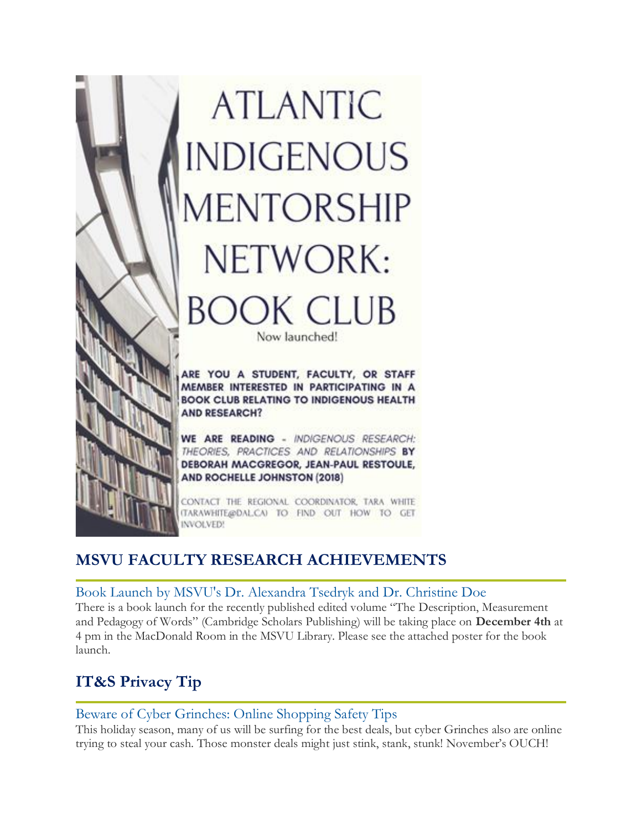

# **MSVU FACULTY RESEARCH ACHIEVEMENTS**

#### Book Launch by MSVU's Dr. Alexandra Tsedryk and Dr. Christine Doe

There is a book launch for the recently published edited volume "The Description, Measurement and Pedagogy of Words" (Cambridge Scholars Publishing) will be taking place on **December 4th** at 4 pm in the MacDonald Room in the MSVU Library. Please see the attached poster for the book launch.

# **IT&S Privacy Tip**

#### Beware of Cyber Grinches: Online Shopping Safety Tips

This holiday season, many of us will be surfing for the best deals, but cyber Grinches also are online trying to steal your cash. Those monster deals might just stink, stank, stunk! November's OUCH!